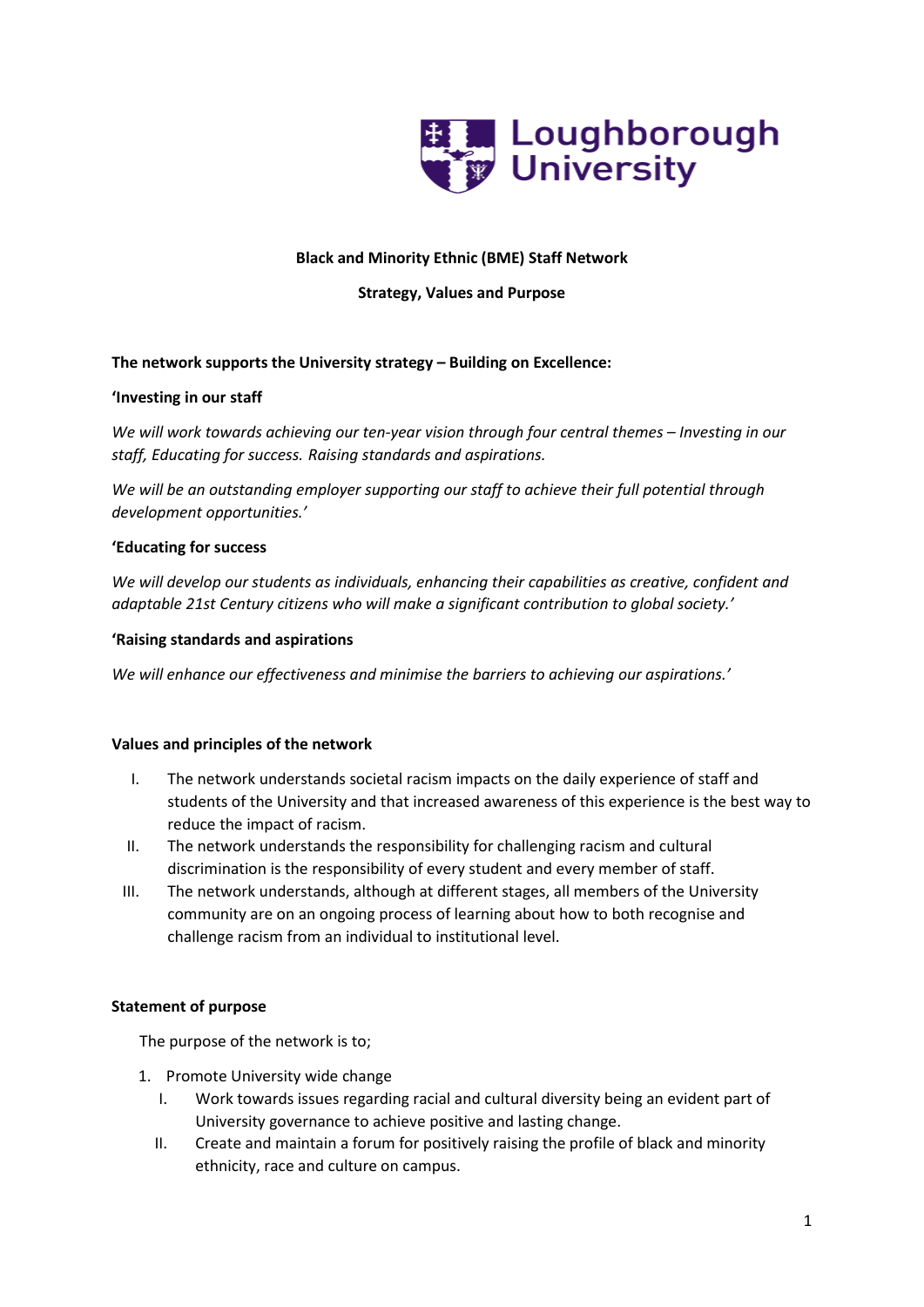

# **Black and Minority Ethnic (BME) Staff Network**

# **Strategy, Values and Purpose**

# **The network supports the University strategy – Building on Excellence:**

# **'Investing in our staff**

*We will work towards achieving our ten-year vision through four central themes – Investing in our staff, Educating for success. Raising standards and aspirations.*

*We will be an outstanding employer supporting our staff to achieve their full potential through development opportunities.'*

#### **'Educating for success**

*We will develop our students as individuals, enhancing their capabilities as creative, confident and adaptable 21st Century citizens who will make a significant contribution to global society.'*

#### **'Raising standards and aspirations**

*We will enhance our effectiveness and minimise the barriers to achieving our aspirations.'*

# **Values and principles of the network**

- I. The network understands societal racism impacts on the daily experience of staff and students of the University and that increased awareness of this experience is the best way to reduce the impact of racism.
- II. The network understands the responsibility for challenging racism and cultural discrimination is the responsibility of every student and every member of staff.
- III. The network understands, although at different stages, all members of the University community are on an ongoing process of learning about how to both recognise and challenge racism from an individual to institutional level.

# **Statement of purpose**

The purpose of the network is to;

- 1. Promote University wide change
	- I. Work towards issues regarding racial and cultural diversity being an evident part of University governance to achieve positive and lasting change.
	- II. Create and maintain a forum for positively raising the profile of black and minority ethnicity, race and culture on campus.